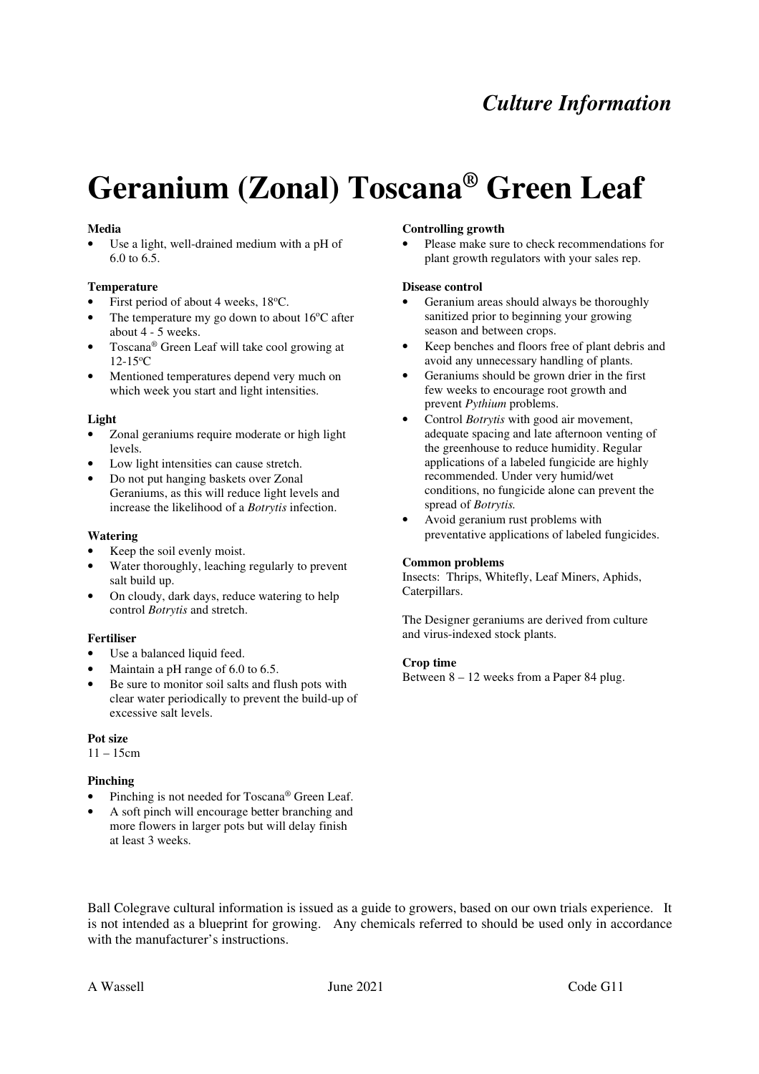# *Culture Information*

# **Geranium (Zonal) Toscana® Green Leaf**

### **Media**

Use a light, well-drained medium with a pH of 6.0 to 6.5.

## **Temperature**

- First period of about 4 weeks, 18°C.
- The temperature my go down to about  $16^{\circ}$ C after about 4 - 5 weeks.
- Toscana® Green Leaf will take cool growing at 12-15<sup>o</sup>C
- Mentioned temperatures depend very much on which week you start and light intensities.

## **Light**

- Zonal geraniums require moderate or high light levels.
- Low light intensities can cause stretch.
- Do not put hanging baskets over Zonal Geraniums, as this will reduce light levels and increase the likelihood of a *Botrytis* infection.

# **Watering**

- Keep the soil evenly moist.
- Water thoroughly, leaching regularly to prevent salt build up.
- On cloudy, dark days, reduce watering to help control *Botrytis* and stretch.

# **Fertiliser**

- Use a balanced liquid feed.
- Maintain a pH range of 6.0 to 6.5.
- Be sure to monitor soil salts and flush pots with clear water periodically to prevent the build-up of excessive salt levels.

# **Pot size**

 $11 - 15$ cm

# **Pinching**

- Pinching is not needed for Toscana® Green Leaf.
- A soft pinch will encourage better branching and more flowers in larger pots but will delay finish at least 3 weeks.

#### **Controlling growth**

Please make sure to check recommendations for plant growth regulators with your sales rep.

#### **Disease control**

- Geranium areas should always be thoroughly sanitized prior to beginning your growing season and between crops.
- Keep benches and floors free of plant debris and avoid any unnecessary handling of plants.
- Geraniums should be grown drier in the first few weeks to encourage root growth and prevent *Pythium* problems.
- Control *Botrytis* with good air movement, adequate spacing and late afternoon venting of the greenhouse to reduce humidity. Regular applications of a labeled fungicide are highly recommended. Under very humid/wet conditions, no fungicide alone can prevent the spread of *Botrytis.*
- Avoid geranium rust problems with preventative applications of labeled fungicides.

#### **Common problems**

Insects: Thrips, Whitefly, Leaf Miners, Aphids, Caterpillars.

The Designer geraniums are derived from culture and virus-indexed stock plants.

#### **Crop time**

Between 8 – 12 weeks from a Paper 84 plug.

Ball Colegrave cultural information is issued as a guide to growers, based on our own trials experience. It is not intended as a blueprint for growing. Any chemicals referred to should be used only in accordance with the manufacturer's instructions.